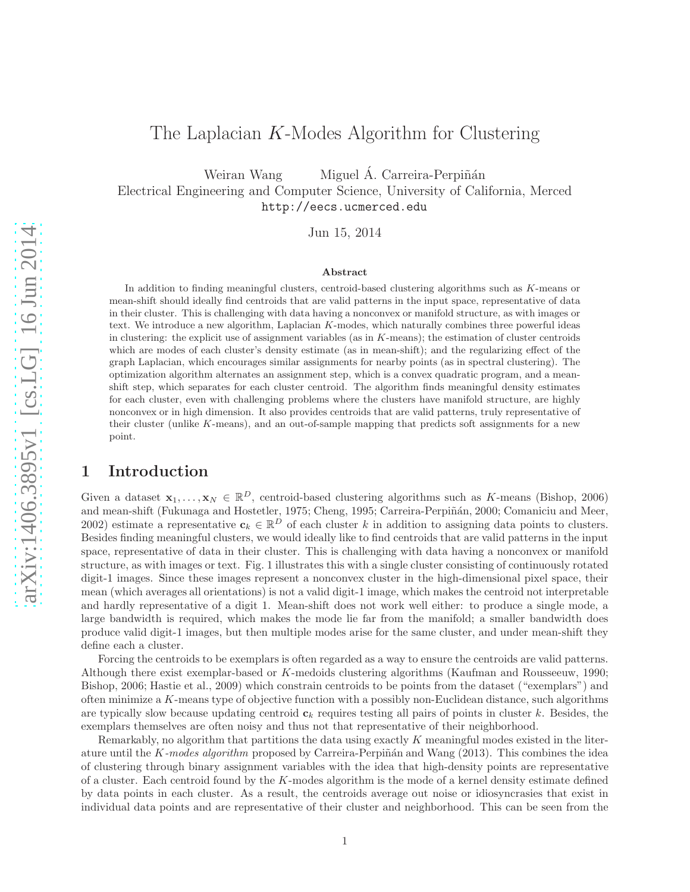# The Laplacian K-Modes Algorithm for Clustering

Weiran Wang Miguel Á. Carreira-Perpiñán

Electrical Engineering and Computer Science, University of California, Merced http://eecs.ucmerced.edu

Jun 15, 2014

#### Abstract

In addition to finding meaningful clusters, centroid-based clustering algorithms such as K-means or mean-shift should ideally find centroids that are valid patterns in the input space, representative of data in their cluster. This is challenging with data having a nonconvex or manifold structure, as with images or text. We introduce a new algorithm, Laplacian K-modes, which naturally combines three powerful ideas in clustering: the explicit use of assignment variables (as in K-means); the estimation of cluster centroids which are modes of each cluster's density estimate (as in mean-shift); and the regularizing effect of the graph Laplacian, which encourages similar assignments for nearby points (as in spectral clustering). The optimization algorithm alternates an assignment step, which is a convex quadratic program, and a meanshift step, which separates for each cluster centroid. The algorithm finds meaningful density estimates for each cluster, even with challenging problems where the clusters have manifold structure, are highly nonconvex or in high dimension. It also provides centroids that are valid patterns, truly representative of their cluster (unlike K-means), and an out-of-sample mapping that predicts soft assignments for a new point.

# 1 Introduction

Given a dataset  $\mathbf{x}_1, \ldots, \mathbf{x}_N \in \mathbb{R}^D$ , centroid-based clustering algorithms such as K-means (Bishop, 2006) and mean-shift (Fukunaga and Hostetler, 1975; Cheng, 1995; Carreira-Perpiñán, 2000; Comaniciu and Meer, 2002) estimate a representative  $c_k \in \mathbb{R}^D$  of each cluster k in addition to assigning data points to clusters. Besides finding meaningful clusters, we would ideally like to find centroids that are valid patterns in the input space, representative of data in their cluster. This is challenging with data having a nonconvex or manifold structure, as with images or text. Fig. 1 illustrates this with a single cluster consisting of continuously rotated digit-1 images. Since these images represent a nonconvex cluster in the high-dimensional pixel space, their mean (which averages all orientations) is not a valid digit-1 image, which makes the centroid not interpretable and hardly representative of a digit 1. Mean-shift does not work well either: to produce a single mode, a large bandwidth is required, which makes the mode lie far from the manifold; a smaller bandwidth does produce valid digit-1 images, but then multiple modes arise for the same cluster, and under mean-shift they define each a cluster.

Forcing the centroids to be exemplars is often regarded as a way to ensure the centroids are valid patterns. Although there exist exemplar-based or K-medoids clustering algorithms (Kaufman and Rousseeuw, 1990; Bishop, 2006; Hastie et al., 2009) which constrain centroids to be points from the dataset ("exemplars") and often minimize a  $K$ -means type of objective function with a possibly non-Euclidean distance, such algorithms are typically slow because updating centroid  $c_k$  requires testing all pairs of points in cluster k. Besides, the exemplars themselves are often noisy and thus not that representative of their neighborhood.

Remarkably, no algorithm that partitions the data using exactly K meaningful modes existed in the literature until the K-modes algorithm proposed by Carreira-Perpiñán and Wang (2013). This combines the idea of clustering through binary assignment variables with the idea that high-density points are representative of a cluster. Each centroid found by the K-modes algorithm is the mode of a kernel density estimate defined by data points in each cluster. As a result, the centroids average out noise or idiosyncrasies that exist in individual data points and are representative of their cluster and neighborhood. This can be seen from the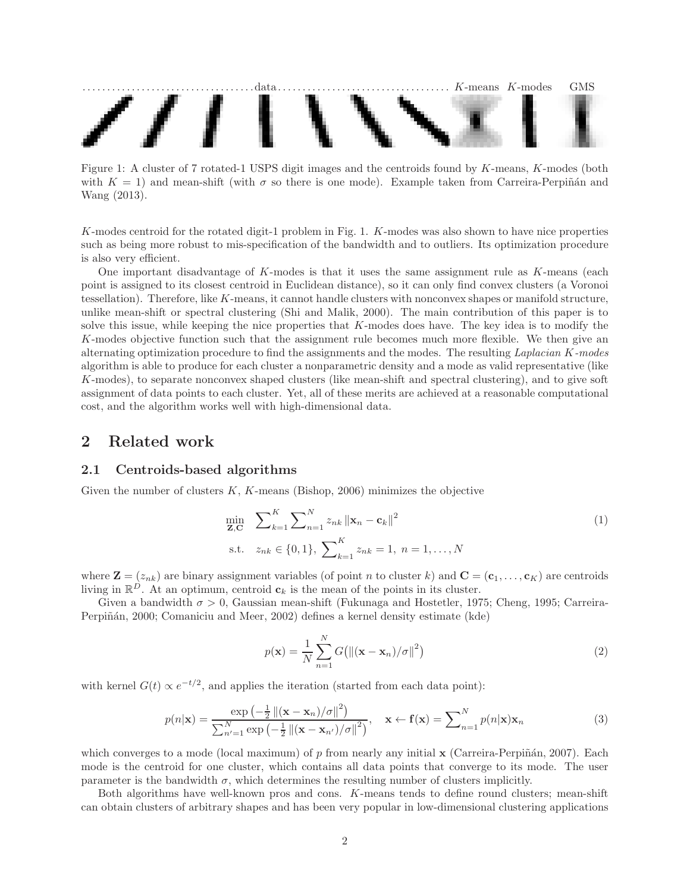

Figure 1: A cluster of 7 rotated-1 USPS digit images and the centroids found by K-means, K-modes (both with  $K = 1$ ) and mean-shift (with  $\sigma$  so there is one mode). Example taken from Carreira-Perpiñán and Wang (2013).

K-modes centroid for the rotated digit-1 problem in Fig. 1. K-modes was also shown to have nice properties such as being more robust to mis-specification of the bandwidth and to outliers. Its optimization procedure is also very efficient.

One important disadvantage of  $K$ -modes is that it uses the same assignment rule as  $K$ -means (each point is assigned to its closest centroid in Euclidean distance), so it can only find convex clusters (a Voronoi tessellation). Therefore, like K-means, it cannot handle clusters with nonconvex shapes or manifold structure, unlike mean-shift or spectral clustering (Shi and Malik, 2000). The main contribution of this paper is to solve this issue, while keeping the nice properties that K-modes does have. The key idea is to modify the K-modes objective function such that the assignment rule becomes much more flexible. We then give an alternating optimization procedure to find the assignments and the modes. The resulting *Laplacian* K*-modes* algorithm is able to produce for each cluster a nonparametric density and a mode as valid representative (like K-modes), to separate nonconvex shaped clusters (like mean-shift and spectral clustering), and to give soft assignment of data points to each cluster. Yet, all of these merits are achieved at a reasonable computational cost, and the algorithm works well with high-dimensional data.

# 2 Related work

### 2.1 Centroids-based algorithms

Given the number of clusters  $K$ ,  $K$ -means (Bishop, 2006) minimizes the objective

$$
\min_{\mathbf{Z}, \mathbf{C}} \quad \sum_{k=1}^{K} \sum_{n=1}^{N} z_{nk} \left\| \mathbf{x}_n - \mathbf{c}_k \right\|^2
$$
\n
$$
\text{s.t.} \quad z_{nk} \in \{0, 1\}, \ \sum_{k=1}^{K} z_{nk} = 1, \ n = 1, \dots, N
$$
\n
$$
(1)
$$

where  $\mathbf{Z} = (z_{nk})$  are binary assignment variables (of point n to cluster k) and  $\mathbf{C} = (\mathbf{c}_1, \dots, \mathbf{c}_K)$  are centroids living in  $\mathbb{R}^D$ . At an optimum, centroid  $c_k$  is the mean of the points in its cluster.

Given a bandwidth  $\sigma > 0$ , Gaussian mean-shift (Fukunaga and Hostetler, 1975; Cheng, 1995; Carreira-Perpiñán, 2000; Comaniciu and Meer, 2002) defines a kernel density estimate (kde)

$$
p(\mathbf{x}) = \frac{1}{N} \sum_{n=1}^{N} G\big(\|(\mathbf{x} - \mathbf{x}_n)/\sigma\|^2\big)
$$
\n(2)

with kernel  $G(t) \propto e^{-t/2}$ , and applies the iteration (started from each data point):

$$
p(n|\mathbf{x}) = \frac{\exp\left(-\frac{1}{2} \left\|(\mathbf{x} - \mathbf{x}_n)/\sigma\right\|^2\right)}{\sum_{n'=1}^N \exp\left(-\frac{1}{2} \left\|(\mathbf{x} - \mathbf{x}_{n'})/\sigma\right\|^2\right)}, \quad \mathbf{x} \leftarrow \mathbf{f}(\mathbf{x}) = \sum_{n=1}^N p(n|\mathbf{x})\mathbf{x}_n
$$
\n(3)

which converges to a mode (local maximum) of p from nearly any initial  $\bf{x}$  (Carreira-Perpiñán, 2007). Each mode is the centroid for one cluster, which contains all data points that converge to its mode. The user parameter is the bandwidth  $\sigma$ , which determines the resulting number of clusters implicitly.

Both algorithms have well-known pros and cons. K-means tends to define round clusters; mean-shift can obtain clusters of arbitrary shapes and has been very popular in low-dimensional clustering applications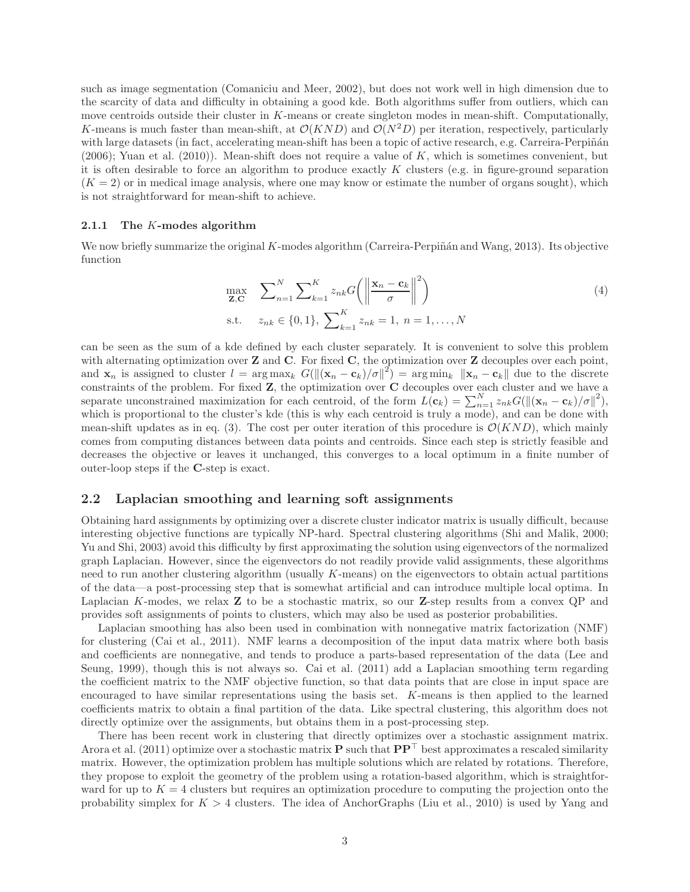such as image segmentation (Comaniciu and Meer, 2002), but does not work well in high dimension due to the scarcity of data and difficulty in obtaining a good kde. Both algorithms suffer from outliers, which can move centroids outside their cluster in K-means or create singleton modes in mean-shift. Computationally, K-means is much faster than mean-shift, at  $\mathcal{O}(KND)$  and  $\mathcal{O}(N^2D)$  per iteration, respectively, particularly with large datasets (in fact, accelerating mean-shift has been a topic of active research, e.g. Carreira-Perpiñán  $(2006)$ ; Yuan et al.  $(2010)$ ). Mean-shift does not require a value of K, which is sometimes convenient, but it is often desirable to force an algorithm to produce exactly  $K$  clusters (e.g. in figure-ground separation  $(K = 2)$  or in medical image analysis, where one may know or estimate the number of organs sought), which is not straightforward for mean-shift to achieve.

#### 2.1.1 The K-modes algorithm

We now briefly summarize the original  $K$ -modes algorithm (Carreira-Perpiñán and Wang, 2013). Its objective function

$$
\max_{\mathbf{Z}, \mathbf{C}} \quad \sum_{n=1}^{N} \sum_{k=1}^{K} z_{nk} G\left(\left\|\frac{\mathbf{x}_n - \mathbf{c}_k}{\sigma}\right\|^2\right)
$$
\n
$$
\text{s.t.} \quad z_{nk} \in \{0, 1\}, \ \sum_{k=1}^{K} z_{nk} = 1, \ n = 1, \dots, N
$$
\n
$$
(4)
$$

can be seen as the sum of a kde defined by each cluster separately. It is convenient to solve this problem with alternating optimization over  $Z$  and  $C$ . For fixed  $C$ , the optimization over  $Z$  decouples over each point, and  $\mathbf{x}_n$  is assigned to cluster  $l = \arg \max_k G(||(\mathbf{x}_n - \mathbf{c}_k)/\sigma||^2) = \arg \min_k ||\mathbf{x}_n - \mathbf{c}_k||$  due to the discrete constraints of the problem. For fixed  $Z$ , the optimization over  $C$  decouples over each cluster and we have a separate unconstrained maximization for each centroid, of the form  $L(\mathbf{c}_k) = \sum_{n=1}^{N} z_{nk} G(||(\mathbf{x}_n - \mathbf{c}_k)/\sigma||^2)$ , which is proportional to the cluster's kde (this is why each centroid is truly a mode), and can be done with mean-shift updates as in eq. (3). The cost per outer iteration of this procedure is  $\mathcal{O}(KND)$ , which mainly comes from computing distances between data points and centroids. Since each step is strictly feasible and decreases the objective or leaves it unchanged, this converges to a local optimum in a finite number of outer-loop steps if the C-step is exact.

#### 2.2 Laplacian smoothing and learning soft assignments

Obtaining hard assignments by optimizing over a discrete cluster indicator matrix is usually difficult, because interesting objective functions are typically NP-hard. Spectral clustering algorithms (Shi and Malik, 2000; Yu and Shi, 2003) avoid this difficulty by first approximating the solution using eigenvectors of the normalized graph Laplacian. However, since the eigenvectors do not readily provide valid assignments, these algorithms need to run another clustering algorithm (usually  $K$ -means) on the eigenvectors to obtain actual partitions of the data—a post-processing step that is somewhat artificial and can introduce multiple local optima. In Laplacian K-modes, we relax **Z** to be a stochastic matrix, so our **Z**-step results from a convex QP and provides soft assignments of points to clusters, which may also be used as posterior probabilities.

Laplacian smoothing has also been used in combination with nonnegative matrix factorization (NMF) for clustering (Cai et al., 2011). NMF learns a decomposition of the input data matrix where both basis and coefficients are nonnegative, and tends to produce a parts-based representation of the data (Lee and Seung, 1999), though this is not always so. Cai et al. (2011) add a Laplacian smoothing term regarding the coefficient matrix to the NMF objective function, so that data points that are close in input space are encouraged to have similar representations using the basis set. K-means is then applied to the learned coefficients matrix to obtain a final partition of the data. Like spectral clustering, this algorithm does not directly optimize over the assignments, but obtains them in a post-processing step.

There has been recent work in clustering that directly optimizes over a stochastic assignment matrix. Arora et al. (2011) optimize over a stochastic matrix P such that  $PP<sup>T</sup>$  best approximates a rescaled similarity matrix. However, the optimization problem has multiple solutions which are related by rotations. Therefore, they propose to exploit the geometry of the problem using a rotation-based algorithm, which is straightforward for up to  $K = 4$  clusters but requires an optimization procedure to computing the projection onto the probability simplex for  $K > 4$  clusters. The idea of AnchorGraphs (Liu et al., 2010) is used by Yang and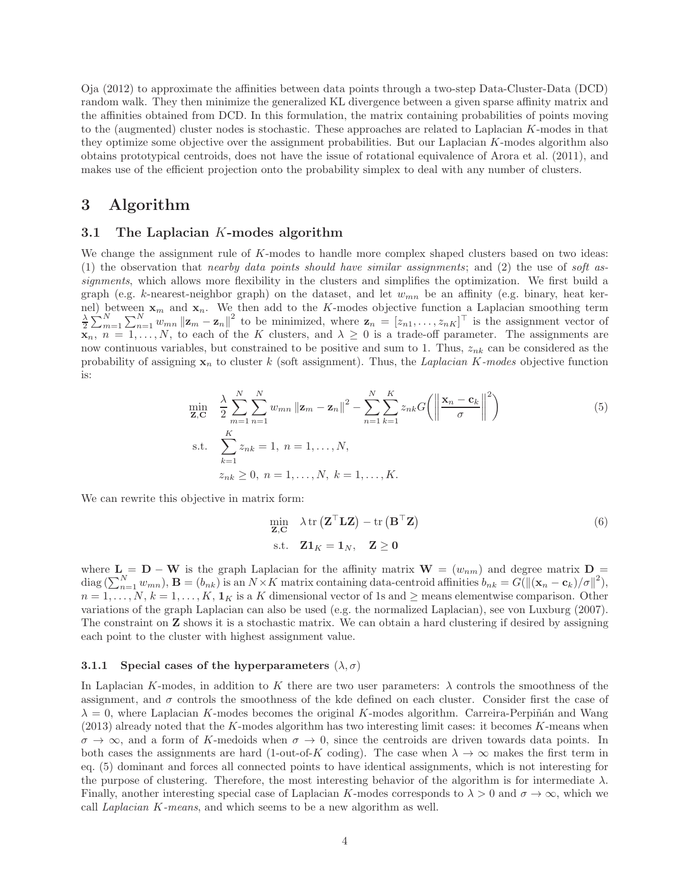Oja (2012) to approximate the affinities between data points through a two-step Data-Cluster-Data (DCD) random walk. They then minimize the generalized KL divergence between a given sparse affinity matrix and the affinities obtained from DCD. In this formulation, the matrix containing probabilities of points moving to the (augmented) cluster nodes is stochastic. These approaches are related to Laplacian K-modes in that they optimize some objective over the assignment probabilities. But our Laplacian K-modes algorithm also obtains prototypical centroids, does not have the issue of rotational equivalence of Arora et al. (2011), and makes use of the efficient projection onto the probability simplex to deal with any number of clusters.

# 3 Algorithm

## 3.1 The Laplacian K-modes algorithm

We change the assignment rule of K-modes to handle more complex shaped clusters based on two ideas: (1) the observation that *nearby data points should have similar assignments*; and (2) the use of *soft assignments*, which allows more flexibility in the clusters and simplifies the optimization. We first build a graph (e.g. k-nearest-neighbor graph) on the dataset, and let  $w_{mn}$  be an affinity (e.g. binary, heat kernel) between  $\mathbf{x}_m$  and  $\mathbf{x}_n$ . We then add to the K-modes objective function a Laplacian smoothing term  $\frac{\lambda}{2} \sum_{m=1}^{N} \sum_{n=1}^{N} w_{mn} ||\mathbf{z}_m - \mathbf{z}_n||^2$  to be minimized, where  $\mathbf{z}_n = [z_{n1}, \dots, z_{nK}]^\top$  is the as  $\mathbf{x}_n, n = 1, \ldots, N$ , to each of the K clusters, and  $\lambda \geq 0$  is a trade-off parameter. The assignments are now continuous variables, but constrained to be positive and sum to 1. Thus,  $z_{nk}$  can be considered as the probability of assigning  $x_n$  to cluster k (soft assignment). Thus, the *Laplacian* K-modes objective function is:

$$
\min_{\mathbf{Z}, \mathbf{C}} \quad \frac{\lambda}{2} \sum_{m=1}^{N} \sum_{n=1}^{N} w_{mn} \left\| \mathbf{z}_{m} - \mathbf{z}_{n} \right\|^{2} - \sum_{n=1}^{N} \sum_{k=1}^{K} z_{nk} G \left( \left\| \frac{\mathbf{x}_{n} - \mathbf{c}_{k}}{\sigma} \right\|^{2} \right)
$$
\n
$$
\text{s.t.} \quad \sum_{k=1}^{K} z_{nk} = 1, \ n = 1, \dots, N,
$$
\n
$$
z_{nk} \geq 0, \ n = 1, \dots, N, \ k = 1, \dots, K.
$$
\n
$$
(5)
$$

We can rewrite this objective in matrix form:

$$
\min_{\mathbf{Z}, \mathbf{C}} \lambda \operatorname{tr} (\mathbf{Z}^{\top} \mathbf{L} \mathbf{Z}) - \operatorname{tr} (\mathbf{B}^{\top} \mathbf{Z})
$$
\n
$$
\text{s.t.} \quad \mathbf{Z} \mathbf{1}_K = \mathbf{1}_N, \quad \mathbf{Z} \ge \mathbf{0}
$$
\n
$$
(6)
$$

where  $L = D - W$  is the graph Laplacian for the affinity matrix  $W = (w_{nm})$  and degree matrix D =  $\text{diag}\left(\sum_{n=1}^N w_{mn}\right)$ ,  $\mathbf{B} = (b_{nk})$  is an  $N \times K$  matrix containing data-centroid affinities  $b_{nk} = G(||(\mathbf{x}_n - \mathbf{c}_k)/\sigma||^2)$ ,  $n = 1, \ldots, N, k = 1, \ldots, K, 1<sub>K</sub>$  is a K dimensional vector of 1s and  $\geq$  means elementwise comparison. Other variations of the graph Laplacian can also be used (e.g. the normalized Laplacian), see von Luxburg (2007). The constraint on Z shows it is a stochastic matrix. We can obtain a hard clustering if desired by assigning each point to the cluster with highest assignment value.

#### 3.1.1 Special cases of the hyperparameters  $(\lambda, \sigma)$

In Laplacian K-modes, in addition to K there are two user parameters:  $\lambda$  controls the smoothness of the assignment, and  $\sigma$  controls the smoothness of the kde defined on each cluster. Consider first the case of  $\lambda = 0$ , where Laplacian K-modes becomes the original K-modes algorithm. Carreira-Perpiñán and Wang (2013) already noted that the K-modes algorithm has two interesting limit cases: it becomes K-means when  $\sigma \to \infty$ , and a form of K-medoids when  $\sigma \to 0$ , since the centroids are driven towards data points. In both cases the assignments are hard (1-out-of-K coding). The case when  $\lambda \to \infty$  makes the first term in eq. (5) dominant and forces all connected points to have identical assignments, which is not interesting for the purpose of clustering. Therefore, the most interesting behavior of the algorithm is for intermediate  $\lambda$ . Finally, another interesting special case of Laplacian K-modes corresponds to  $\lambda > 0$  and  $\sigma \to \infty$ , which we call *Laplacian* K*-means*, and which seems to be a new algorithm as well.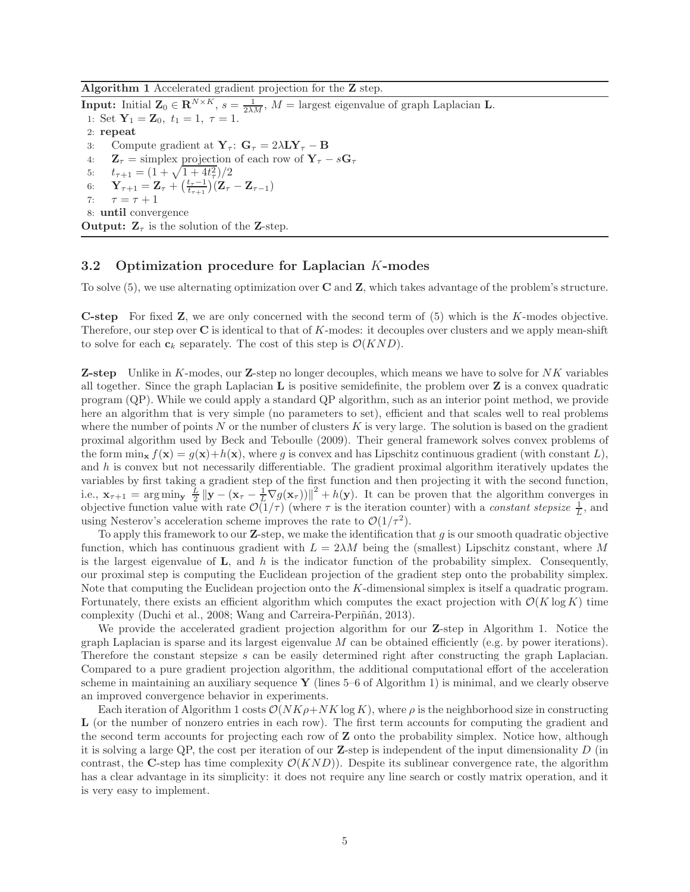Algorithm 1 Accelerated gradient projection for the Z step.

**Input:** Initial  $\mathbf{Z}_0 \in \mathbb{R}^{N \times K}$ ,  $s = \frac{1}{2\lambda M}$ ,  $M =$  largest eigenvalue of graph Laplacian **L**. 1: Set  $Y_1 = Z_0$ ,  $t_1 = 1$ ,  $\tau = 1$ . 2: repeat 3: Compute gradient at  $\mathbf{Y}_{\tau}$ :  $\mathbf{G}_{\tau} = 2\lambda \mathbf{L} \mathbf{Y}_{\tau} - \mathbf{B}$ <br>4:  $\mathbf{Z}_{\tau} = \text{simplex projection of each row of } \mathbf{Y}_{\tau}$ 4:  $\mathbf{Z}_{\tau} = \text{simplex projection of each row of } \mathbf{Y}_{\tau} - s\mathbf{G}_{\tau}$ <br>5:  $t_{\tau+1} = (1 + \sqrt{1 + 4t_{\tau}^2})/2$ 5:  $t_{\tau+1} = (1 + \sqrt{1 + 4t_{\tau}^2})/2$ 6:  $\mathbf{Y}_{\tau+1} = \mathbf{Z}_{\tau} + (\frac{t_{\tau}-1}{t_{\tau+1}})(\mathbf{Z}_{\tau} - \mathbf{Z}_{\tau-1})$ 7:  $\tau = \tau + 1$ 8: until convergence **Output:**  $\mathbf{Z}_{\tau}$  is the solution of the **Z**-step.

# 3.2 Optimization procedure for Laplacian K-modes

To solve (5), we use alternating optimization over C and Z, which takes advantage of the problem's structure.

C-step For fixed Z, we are only concerned with the second term of (5) which is the K-modes objective. Therefore, our step over  $C$  is identical to that of K-modes: it decouples over clusters and we apply mean-shift to solve for each  $c_k$  separately. The cost of this step is  $\mathcal{O}(KND)$ .

**Z-step** Unlike in K-modes, our **Z**-step no longer decouples, which means we have to solve for  $NK$  variables all together. Since the graph Laplacian  $\bf{L}$  is positive semidefinite, the problem over  $\bf{Z}$  is a convex quadratic program (QP). While we could apply a standard QP algorithm, such as an interior point method, we provide here an algorithm that is very simple (no parameters to set), efficient and that scales well to real problems where the number of points  $N$  or the number of clusters  $K$  is very large. The solution is based on the gradient proximal algorithm used by Beck and Teboulle (2009). Their general framework solves convex problems of the form  $\min_{\mathbf{x}} f(\mathbf{x}) = g(\mathbf{x}) + h(\mathbf{x})$ , where g is convex and has Lipschitz continuous gradient (with constant L), and  $h$  is convex but not necessarily differentiable. The gradient proximal algorithm iteratively updates the variables by first taking a gradient step of the first function and then projecting it with the second function, i.e.,  $\mathbf{x}_{\tau+1} = \arg \min_{\mathbf{y}} \frac{L}{2} ||\mathbf{y} - (\mathbf{x}_{\tau} - \frac{1}{L} \nabla g(\mathbf{x}_{\tau}))||^2 + h(\mathbf{y})$ . It can be proven that the algorithm converges in objective function value with rate  $\mathcal{O}(1/\tau)$  (where  $\tau$  is the iteration counter) with a *constant stepsize*  $\frac{1}{L}$ , and using Nesterov's acceleration scheme improves the rate to  $\mathcal{O}(1/\tau^2)$ .

To apply this framework to our **Z**-step, we make the identification that q is our smooth quadratic objective function, which has continuous gradient with  $L = 2\lambda M$  being the (smallest) Lipschitz constant, where M is the largest eigenvalue of  $\bf{L}$ , and h is the indicator function of the probability simplex. Consequently, our proximal step is computing the Euclidean projection of the gradient step onto the probability simplex. Note that computing the Euclidean projection onto the K-dimensional simplex is itself a quadratic program. Fortunately, there exists an efficient algorithm which computes the exact projection with  $\mathcal{O}(K \log K)$  time complexity (Duchi et al., 2008; Wang and Carreira-Perpiñán, 2013).

We provide the accelerated gradient projection algorithm for our **Z**-step in Algorithm 1. Notice the graph Laplacian is sparse and its largest eigenvalue  $M$  can be obtained efficiently (e.g. by power iterations). Therefore the constant stepsize s can be easily determined right after constructing the graph Laplacian. Compared to a pure gradient projection algorithm, the additional computational effort of the acceleration scheme in maintaining an auxiliary sequence  $\bf{Y}$  (lines 5–6 of Algorithm 1) is minimal, and we clearly observe an improved convergence behavior in experiments.

Each iteration of Algorithm 1 costs  $\mathcal{O}(NK\rho+NK\log K)$ , where  $\rho$  is the neighborhood size in constructing L (or the number of nonzero entries in each row). The first term accounts for computing the gradient and the second term accounts for projecting each row of Z onto the probability simplex. Notice how, although it is solving a large QP, the cost per iteration of our **Z**-step is independent of the input dimensionality  $D$  (in contrast, the C-step has time complexity  $\mathcal{O}(KND)$ ). Despite its sublinear convergence rate, the algorithm has a clear advantage in its simplicity: it does not require any line search or costly matrix operation, and it is very easy to implement.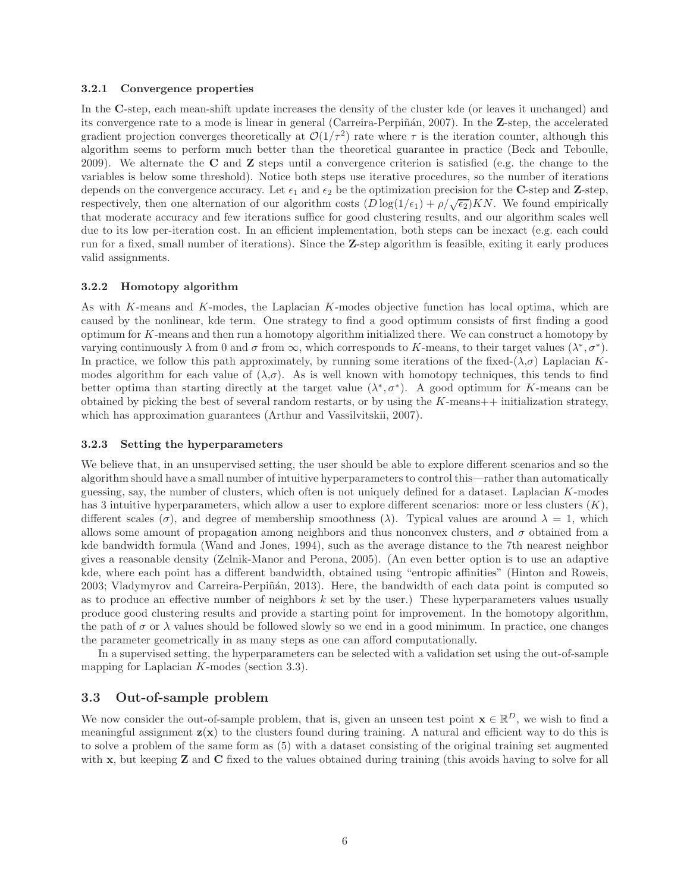#### 3.2.1 Convergence properties

In the C-step, each mean-shift update increases the density of the cluster kde (or leaves it unchanged) and its convergence rate to a mode is linear in general (Carreira-Perpiñán, 2007). In the Z-step, the accelerated gradient projection converges theoretically at  $\mathcal{O}(1/\tau^2)$  rate where  $\tau$  is the iteration counter, although this algorithm seems to perform much better than the theoretical guarantee in practice (Beck and Teboulle, 2009). We alternate the C and Z steps until a convergence criterion is satisfied (e.g. the change to the variables is below some threshold). Notice both steps use iterative procedures, so the number of iterations depends on the convergence accuracy. Let  $\epsilon_1$  and  $\epsilon_2$  be the optimization precision for the C-step and Z-step, respectively, then one alternation of our algorithm costs  $(D \log(1/\epsilon_1) + \rho/\sqrt{\epsilon_2})KN$ . We found empirically that moderate accuracy and few iterations suffice for good clustering results, and our algorithm scales well due to its low per-iteration cost. In an efficient implementation, both steps can be inexact (e.g. each could run for a fixed, small number of iterations). Since the Z-step algorithm is feasible, exiting it early produces valid assignments.

#### 3.2.2 Homotopy algorithm

As with K-means and K-modes, the Laplacian K-modes objective function has local optima, which are caused by the nonlinear, kde term. One strategy to find a good optimum consists of first finding a good optimum for K-means and then run a homotopy algorithm initialized there. We can construct a homotopy by varying continuously  $\lambda$  from 0 and  $\sigma$  from  $\infty$ , which corresponds to K-means, to their target values  $(\lambda^*, \sigma^*)$ . In practice, we follow this path approximately, by running some iterations of the fixed- $(\lambda,\sigma)$  Laplacian Kmodes algorithm for each value of  $(\lambda, \sigma)$ . As is well known with homotopy techniques, this tends to find better optima than starting directly at the target value  $(\lambda^*, \sigma^*)$ . A good optimum for K-means can be obtained by picking the best of several random restarts, or by using the  $K$ -means $++$  initialization strategy, which has approximation guarantees (Arthur and Vassilvitskii, 2007).

#### 3.2.3 Setting the hyperparameters

We believe that, in an unsupervised setting, the user should be able to explore different scenarios and so the algorithm should have a small number of intuitive hyperparameters to control this—rather than automatically guessing, say, the number of clusters, which often is not uniquely defined for a dataset. Laplacian K-modes has 3 intuitive hyperparameters, which allow a user to explore different scenarios: more or less clusters  $(K)$ , different scales ( $\sigma$ ), and degree of membership smoothness ( $\lambda$ ). Typical values are around  $\lambda = 1$ , which allows some amount of propagation among neighbors and thus nonconvex clusters, and  $\sigma$  obtained from a kde bandwidth formula (Wand and Jones, 1994), such as the average distance to the 7th nearest neighbor gives a reasonable density (Zelnik-Manor and Perona, 2005). (An even better option is to use an adaptive kde, where each point has a different bandwidth, obtained using "entropic affinities" (Hinton and Roweis, 2003; Vladymyrov and Carreira-Perpiñán, 2013). Here, the bandwidth of each data point is computed so as to produce an effective number of neighbors  $k$  set by the user.) These hyperparameters values usually produce good clustering results and provide a starting point for improvement. In the homotopy algorithm, the path of  $\sigma$  or  $\lambda$  values should be followed slowly so we end in a good minimum. In practice, one changes the parameter geometrically in as many steps as one can afford computationally.

In a supervised setting, the hyperparameters can be selected with a validation set using the out-of-sample mapping for Laplacian K-modes (section 3.3).

### 3.3 Out-of-sample problem

We now consider the out-of-sample problem, that is, given an unseen test point  $\mathbf{x} \in \mathbb{R}^D$ , we wish to find a meaningful assignment  $z(x)$  to the clusters found during training. A natural and efficient way to do this is to solve a problem of the same form as (5) with a dataset consisting of the original training set augmented with x, but keeping **Z** and **C** fixed to the values obtained during training (this avoids having to solve for all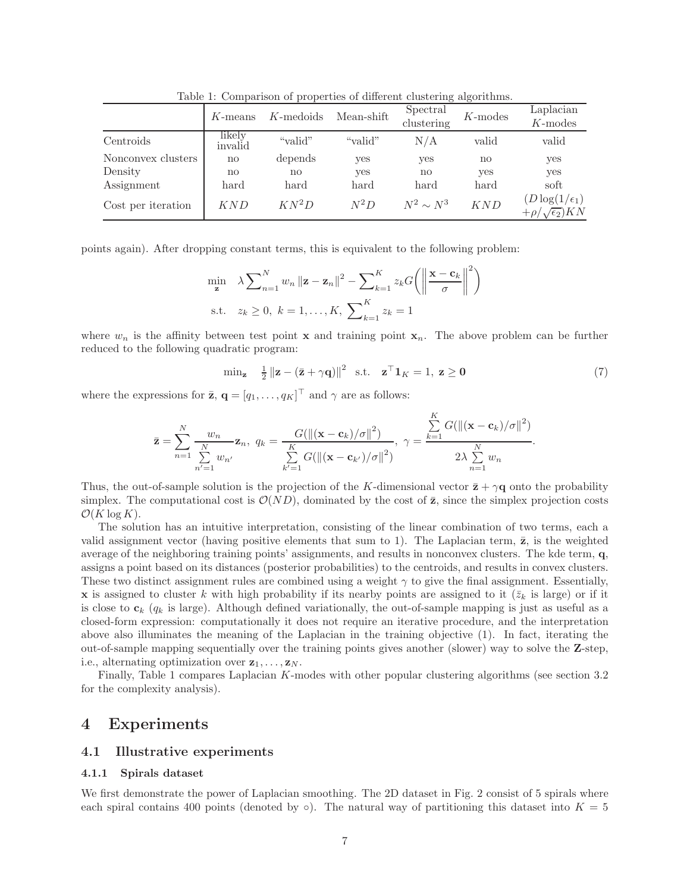|                    | $K$ -means        | $K$ -medoids | Mean-shift |                | $K$ -modes | Laplacian<br>$K$ -modes                                 |  |
|--------------------|-------------------|--------------|------------|----------------|------------|---------------------------------------------------------|--|
| Centroids          | likelv<br>invalid | "valid"      | "valid"    | N/A            | valid      | valid                                                   |  |
| Nonconvex clusters | no                | depends      | yes        | yes            | no         | yes                                                     |  |
| Density            | $\mathbf{no}$     | no           | yes        | $\mathbf{no}$  | yes        | yes                                                     |  |
| Assignment         | hard              | hard         | hard       | hard           | hard       | soft                                                    |  |
| Cost per iteration | KND               | $KN^2D$      | $N^2D$     | $N^2 \sim N^3$ | KND        | $(D\log(1/\epsilon_1))$<br>$+\rho/\sqrt{\epsilon_2}$ KN |  |

Table 1: Comparison of properties of different clustering algorithms.

points again). After dropping constant terms, this is equivalent to the following problem:

$$
\min_{\mathbf{z}} \quad \lambda \sum_{n=1}^{N} w_n \left\| \mathbf{z} - \mathbf{z}_n \right\|^2 - \sum_{k=1}^{K} z_k G \left( \left\| \frac{\mathbf{x} - \mathbf{c}_k}{\sigma} \right\|^2 \right)
$$
\n
$$
\text{s.t.} \quad z_k \ge 0, \ k = 1, \dots, K, \ \sum_{k=1}^{K} z_k = 1
$$

where  $w_n$  is the affinity between test point **x** and training point  $\mathbf{x}_n$ . The above problem can be further reduced to the following quadratic program:

$$
\min_{\mathbf{z}} \quad \frac{1}{2} \left\| \mathbf{z} - (\bar{\mathbf{z}} + \gamma \mathbf{q}) \right\|^2 \quad \text{s.t.} \quad \mathbf{z}^\top \mathbf{1}_K = 1, \ \mathbf{z} \ge \mathbf{0} \tag{7}
$$

.

where the expressions for  $\bar{z}$ ,  $\mathbf{q} = [q_1, \dots, q_K]^\top$  and  $\gamma$  are as follows:

$$
\bar{\mathbf{z}} = \sum_{n=1}^{N} \frac{w_n}{\sum_{n'=1}^{N} w_{n'}} \mathbf{z}_n, \ q_k = \frac{G(||(\mathbf{x} - \mathbf{c}_k)/\sigma||^2)}{\sum_{k'=1}^{K} G(||(\mathbf{x} - \mathbf{c}_{k'})/\sigma||^2)}, \ \gamma = \frac{\sum_{k=1}^{K} G(||(\mathbf{x} - \mathbf{c}_k)/\sigma||^2)}{2\lambda \sum_{n=1}^{N} w_n}
$$

Thus, the out-of-sample solution is the projection of the K-dimensional vector  $\bar{\mathbf{z}} + \gamma \mathbf{q}$  onto the probability simplex. The computational cost is  $\mathcal{O}(ND)$ , dominated by the cost of  $\bar{z}$ , since the simplex projection costs  $\mathcal{O}(K \log K)$ .

The solution has an intuitive interpretation, consisting of the linear combination of two terms, each a valid assignment vector (having positive elements that sum to 1). The Laplacian term,  $\bar{z}$ , is the weighted average of the neighboring training points' assignments, and results in nonconvex clusters. The kde term, q, assigns a point based on its distances (posterior probabilities) to the centroids, and results in convex clusters. These two distinct assignment rules are combined using a weight  $\gamma$  to give the final assignment. Essentially, **x** is assigned to cluster k with high probability if its nearby points are assigned to it  $(\bar{z}_k$  is large) or if it is close to  $c_k$  ( $q_k$  is large). Although defined variationally, the out-of-sample mapping is just as useful as a closed-form expression: computationally it does not require an iterative procedure, and the interpretation above also illuminates the meaning of the Laplacian in the training objective (1). In fact, iterating the out-of-sample mapping sequentially over the training points gives another (slower) way to solve the Z-step, i.e., alternating optimization over  $z_1, \ldots, z_N$ .

Finally, Table 1 compares Laplacian K-modes with other popular clustering algorithms (see section 3.2 for the complexity analysis).

# 4 Experiments

### 4.1 Illustrative experiments

#### 4.1.1 Spirals dataset

We first demonstrate the power of Laplacian smoothing. The 2D dataset in Fig. 2 consist of 5 spirals where each spiral contains 400 points (denoted by  $\circ$ ). The natural way of partitioning this dataset into  $K = 5$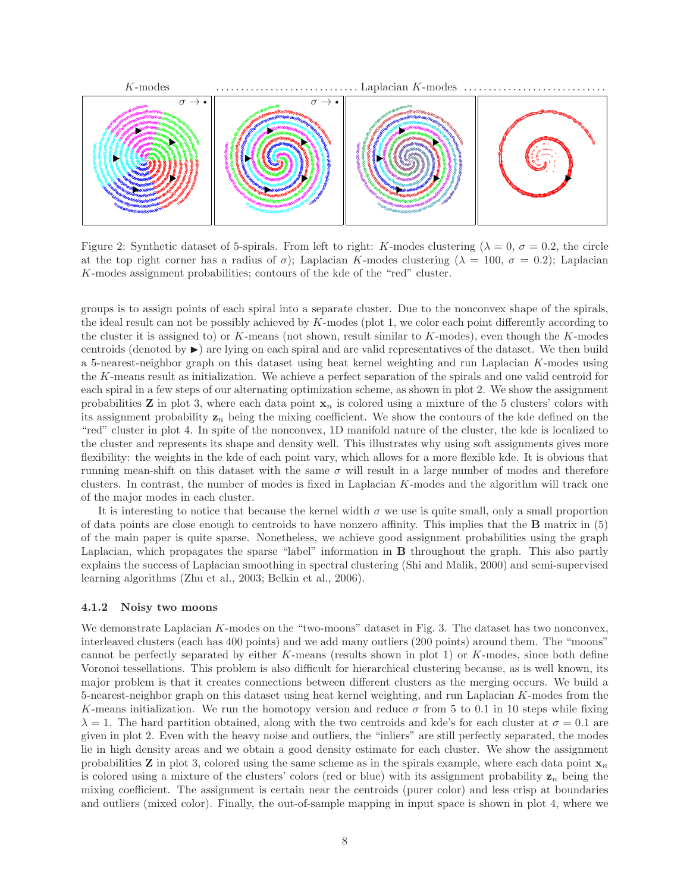

Figure 2: Synthetic dataset of 5-spirals. From left to right: K-modes clustering ( $\lambda = 0$ ,  $\sigma = 0.2$ , the circle at the top right corner has a radius of  $\sigma$ ); Laplacian K-modes clustering ( $\lambda = 100$ ,  $\sigma = 0.2$ ); Laplacian K-modes assignment probabilities; contours of the kde of the "red" cluster.

groups is to assign points of each spiral into a separate cluster. Due to the nonconvex shape of the spirals, the ideal result can not be possibly achieved by K-modes (plot 1, we color each point differently according to the cluster it is assigned to) or  $K$ -means (not shown, result similar to  $K$ -modes), even though the  $K$ -modes centroids (denoted by  $\blacktriangleright$ ) are lying on each spiral and are valid representatives of the dataset. We then build a 5-nearest-neighbor graph on this dataset using heat kernel weighting and run Laplacian K-modes using the K-means result as initialization. We achieve a perfect separation of the spirals and one valid centroid for each spiral in a few steps of our alternating optimization scheme, as shown in plot 2. We show the assignment probabilities **Z** in plot 3, where each data point  $\mathbf{x}_n$  is colored using a mixture of the 5 clusters' colors with its assignment probability  $z_n$  being the mixing coefficient. We show the contours of the kde defined on the "red" cluster in plot 4. In spite of the nonconvex, 1D manifold nature of the cluster, the kde is localized to the cluster and represents its shape and density well. This illustrates why using soft assignments gives more flexibility: the weights in the kde of each point vary, which allows for a more flexible kde. It is obvious that running mean-shift on this dataset with the same  $\sigma$  will result in a large number of modes and therefore clusters. In contrast, the number of modes is fixed in Laplacian K-modes and the algorithm will track one of the major modes in each cluster.

It is interesting to notice that because the kernel width  $\sigma$  we use is quite small, only a small proportion of data points are close enough to centroids to have nonzero affinity. This implies that the B matrix in (5) of the main paper is quite sparse. Nonetheless, we achieve good assignment probabilities using the graph Laplacian, which propagates the sparse "label" information in B throughout the graph. This also partly explains the success of Laplacian smoothing in spectral clustering (Shi and Malik, 2000) and semi-supervised learning algorithms (Zhu et al., 2003; Belkin et al., 2006).

### 4.1.2 Noisy two moons

We demonstrate Laplacian K-modes on the "two-moons" dataset in Fig. 3. The dataset has two nonconvex, interleaved clusters (each has 400 points) and we add many outliers (200 points) around them. The "moons" cannot be perfectly separated by either  $K$ -means (results shown in plot 1) or  $K$ -modes, since both define Voronoi tessellations. This problem is also difficult for hierarchical clustering because, as is well known, its major problem is that it creates connections between different clusters as the merging occurs. We build a 5-nearest-neighbor graph on this dataset using heat kernel weighting, and run Laplacian K-modes from the K-means initialization. We run the homotopy version and reduce  $\sigma$  from 5 to 0.1 in 10 steps while fixing  $\lambda = 1$ . The hard partition obtained, along with the two centroids and kde's for each cluster at  $\sigma = 0.1$  are given in plot 2. Even with the heavy noise and outliers, the "inliers" are still perfectly separated, the modes lie in high density areas and we obtain a good density estimate for each cluster. We show the assignment probabilities **Z** in plot 3, colored using the same scheme as in the spirals example, where each data point  $\mathbf{x}_n$ is colored using a mixture of the clusters' colors (red or blue) with its assignment probability  $z_n$  being the mixing coefficient. The assignment is certain near the centroids (purer color) and less crisp at boundaries and outliers (mixed color). Finally, the out-of-sample mapping in input space is shown in plot 4, where we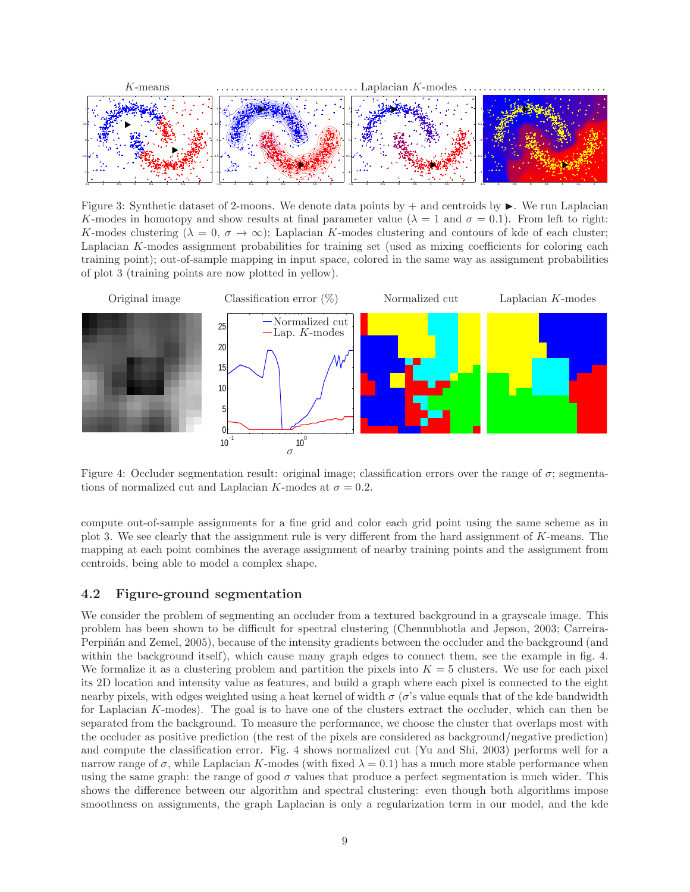

Figure 3: Synthetic dataset of 2-moons. We denote data points by  $+$  and centroids by  $\blacktriangleright$ . We run Laplacian K-modes in homotopy and show results at final parameter value ( $\lambda = 1$  and  $\sigma = 0.1$ ). From left to right: K-modes clustering  $(\lambda = 0, \sigma \to \infty)$ ; Laplacian K-modes clustering and contours of kde of each cluster; Laplacian K-modes assignment probabilities for training set (used as mixing coefficients for coloring each training point); out-of-sample mapping in input space, colored in the same way as assignment probabilities of plot 3 (training points are now plotted in yellow).



Figure 4: Occluder segmentation result: original image; classification errors over the range of  $\sigma$ ; segmentations of normalized cut and Laplacian K-modes at  $\sigma = 0.2$ .

compute out-of-sample assignments for a fine grid and color each grid point using the same scheme as in plot 3. We see clearly that the assignment rule is very different from the hard assignment of K-means. The mapping at each point combines the average assignment of nearby training points and the assignment from centroids, being able to model a complex shape.

## 4.2 Figure-ground segmentation

We consider the problem of segmenting an occluder from a textured background in a grayscale image. This problem has been shown to be difficult for spectral clustering (Chennubhotla and Jepson, 2003; Carreira-Perpiñán and Zemel, 2005), because of the intensity gradients between the occluder and the background (and within the background itself), which cause many graph edges to connect them, see the example in fig. 4. We formalize it as a clustering problem and partition the pixels into  $K = 5$  clusters. We use for each pixel its 2D location and intensity value as features, and build a graph where each pixel is connected to the eight nearby pixels, with edges weighted using a heat kernel of width  $\sigma$  ( $\sigma$ 's value equals that of the kde bandwidth for Laplacian K-modes). The goal is to have one of the clusters extract the occluder, which can then be separated from the background. To measure the performance, we choose the cluster that overlaps most with the occluder as positive prediction (the rest of the pixels are considered as background/negative prediction) and compute the classification error. Fig. 4 shows normalized cut (Yu and Shi, 2003) performs well for a narrow range of  $\sigma$ , while Laplacian K-modes (with fixed  $\lambda = 0.1$ ) has a much more stable performance when using the same graph: the range of good  $\sigma$  values that produce a perfect segmentation is much wider. This shows the difference between our algorithm and spectral clustering: even though both algorithms impose smoothness on assignments, the graph Laplacian is only a regularization term in our model, and the kde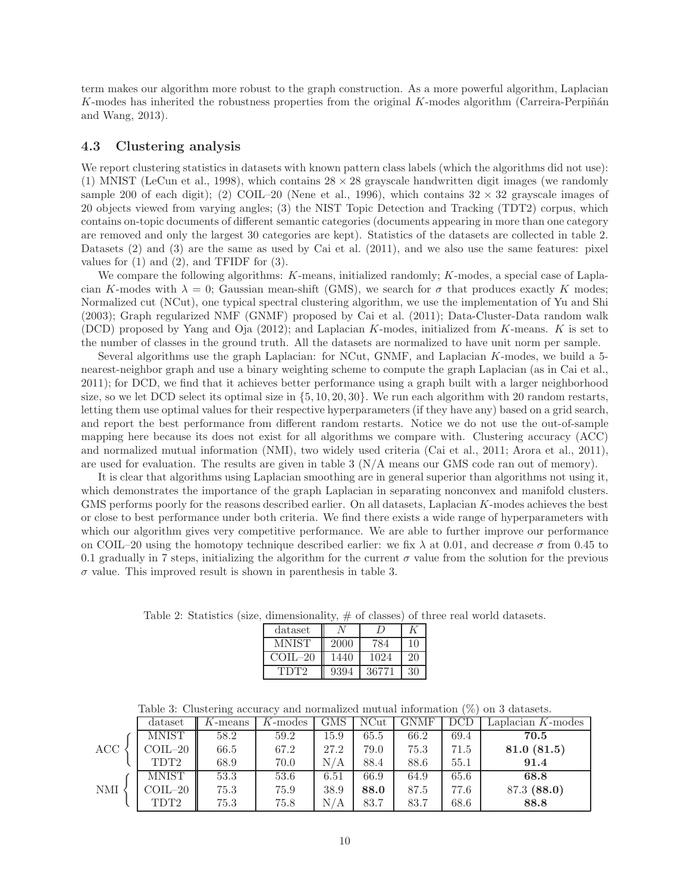term makes our algorithm more robust to the graph construction. As a more powerful algorithm, Laplacian K-modes has inherited the robustness properties from the original K-modes algorithm (Carreira-Perpiñán) and Wang, 2013).

### 4.3 Clustering analysis

We report clustering statistics in datasets with known pattern class labels (which the algorithms did not use): (1) MNIST (LeCun et al., 1998), which contains  $28 \times 28$  grayscale handwritten digit images (we randomly sample 200 of each digit); (2) COIL–20 (Nene et al., 1996), which contains  $32 \times 32$  grayscale images of 20 objects viewed from varying angles; (3) the NIST Topic Detection and Tracking (TDT2) corpus, which contains on-topic documents of different semantic categories (documents appearing in more than one category are removed and only the largest 30 categories are kept). Statistics of the datasets are collected in table 2. Datasets (2) and (3) are the same as used by Cai et al. (2011), and we also use the same features: pixel values for  $(1)$  and  $(2)$ , and TFIDF for  $(3)$ .

We compare the following algorithms: K-means, initialized randomly; K-modes, a special case of Laplacian K-modes with  $\lambda = 0$ ; Gaussian mean-shift (GMS), we search for  $\sigma$  that produces exactly K modes; Normalized cut (NCut), one typical spectral clustering algorithm, we use the implementation of Yu and Shi (2003); Graph regularized NMF (GNMF) proposed by Cai et al. (2011); Data-Cluster-Data random walk (DCD) proposed by Yang and Oja (2012); and Laplacian K-modes, initialized from K-means. K is set to the number of classes in the ground truth. All the datasets are normalized to have unit norm per sample.

Several algorithms use the graph Laplacian: for NCut, GNMF, and Laplacian K-modes, we build a 5 nearest-neighbor graph and use a binary weighting scheme to compute the graph Laplacian (as in Cai et al., 2011); for DCD, we find that it achieves better performance using a graph built with a larger neighborhood size, so we let DCD select its optimal size in  $\{5, 10, 20, 30\}$ . We run each algorithm with 20 random restarts, letting them use optimal values for their respective hyperparameters (if they have any) based on a grid search, and report the best performance from different random restarts. Notice we do not use the out-of-sample mapping here because its does not exist for all algorithms we compare with. Clustering accuracy (ACC) and normalized mutual information (NMI), two widely used criteria (Cai et al., 2011; Arora et al., 2011), are used for evaluation. The results are given in table 3 (N/A means our GMS code ran out of memory).

It is clear that algorithms using Laplacian smoothing are in general superior than algorithms not using it, which demonstrates the importance of the graph Laplacian in separating nonconvex and manifold clusters. GMS performs poorly for the reasons described earlier. On all datasets, Laplacian K-modes achieves the best or close to best performance under both criteria. We find there exists a wide range of hyperparameters with which our algorithm gives very competitive performance. We are able to further improve our performance on COIL–20 using the homotopy technique described earlier: we fix  $\lambda$  at 0.01, and decrease  $\sigma$  from 0.45 to 0.1 gradually in 7 steps, initializing the algorithm for the current  $\sigma$  value from the solution for the previous  $\sigma$  value. This improved result is shown in parenthesis in table 3.

| $\mu$ and $\mu$ and $\mu$ and $\mu$ and $\mu$ and $\mu$ |      |       |    |  |  |
|---------------------------------------------------------|------|-------|----|--|--|
| dataset                                                 |      |       |    |  |  |
| MNIST                                                   | 2000 | 784   | 10 |  |  |
| $\text{COII} - 20$                                      | 1440 | 1024  | 20 |  |  |
| TDT <sub>2</sub>                                        | 9394 | 36771 | 30 |  |  |

Table 2: Statistics (size, dimensionality,  $\#$  of classes) of three real world datasets.

| Table 3: Clustering accuracy and normalized mutual information $(\%)$ on 3 datasets. |  |  |  |
|--------------------------------------------------------------------------------------|--|--|--|
|--------------------------------------------------------------------------------------|--|--|--|

|            | dataset                  | $K$ -means | $K$ -modes | <b>GMS</b> | <b>NCut</b> | GNMF | <b>DCD</b> | Laplacian $K$ -modes |
|------------|--------------------------|------------|------------|------------|-------------|------|------------|----------------------|
|            | <b>MNIST</b>             | 58.2       | 59.2       | 15.9       | 65.5        | 66.2 | 69.4       | 70.5                 |
| ACC        | $COLL-20$                | 66.5       | 67.2       | 27.2       | 79.0        | 75.3 | 71.5       | 81.0(81.5)           |
|            | TDT <sub>2</sub>         | 68.9       | 70.0       | N/A        | 88.4        | 88.6 | 55.1       | 91.4                 |
|            | <b>MNIST</b>             | 53.3       | 53.6       | 6.51       | 66.9        | 64.9 | 65.6       | 68.8                 |
| <b>NMI</b> | $\text{COLL}\text{--}20$ | 75.3       | 75.9       | 38.9       | 88.0        | 87.5 | 77.6       | 87.3 (88.0)          |
|            | TDT2                     | 75.3       | 75.8       | N/A        | 83.7        | 83.7 | 68.6       | 88.8                 |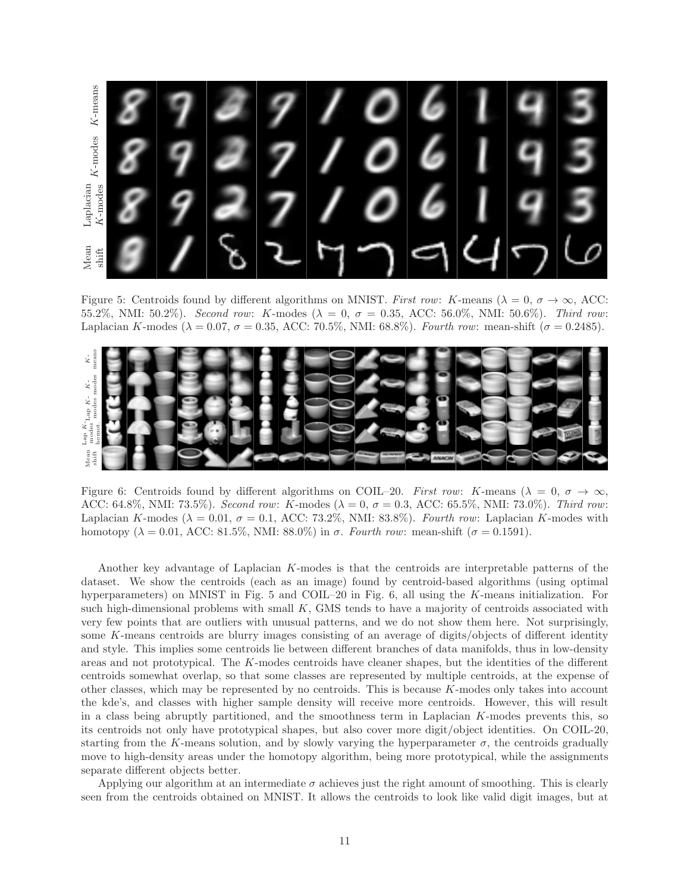

Figure 5: Centroids found by different algorithms on MNIST. *First row*: K-means ( $\lambda = 0$ ,  $\sigma \to \infty$ , ACC: 55.2%, NMI: 50.2%). *Second row*: K-modes (λ = 0, σ = 0.35, ACC: 56.0%, NMI: 50.6%). *Third row*: Laplacian K-modes ( $\lambda = 0.07$ ,  $\sigma = 0.35$ , ACC: 70.5%, NMI: 68.8%). *Fourth row*: mean-shift ( $\sigma = 0.2485$ ).



Figure 6: Centroids found by different algorithms on COIL–20. *First row:* K-means ( $\lambda = 0$ ,  $\sigma \to \infty$ , ACC: 64.8%, NMI: 73.5%). *Second row*: K-modes (λ = 0, σ = 0.3, ACC: 65.5%, NMI: 73.0%). *Third row*: Laplacian K-modes ( $\lambda = 0.01$ ,  $\sigma = 0.1$ , ACC: 73.2%, NMI: 83.8%). *Fourth row*: Laplacian K-modes with homotopy ( $\lambda = 0.01$ , ACC: 81.5%, NMI: 88.0%) in  $\sigma$ . *Fourth row*: mean-shift ( $\sigma = 0.1591$ ).

Another key advantage of Laplacian K-modes is that the centroids are interpretable patterns of the dataset. We show the centroids (each as an image) found by centroid-based algorithms (using optimal hyperparameters) on MNIST in Fig. 5 and COIL–20 in Fig. 6, all using the K-means initialization. For such high-dimensional problems with small K, GMS tends to have a majority of centroids associated with very few points that are outliers with unusual patterns, and we do not show them here. Not surprisingly, some K-means centroids are blurry images consisting of an average of digits/objects of different identity and style. This implies some centroids lie between different branches of data manifolds, thus in low-density areas and not prototypical. The K-modes centroids have cleaner shapes, but the identities of the different centroids somewhat overlap, so that some classes are represented by multiple centroids, at the expense of other classes, which may be represented by no centroids. This is because K-modes only takes into account the kde's, and classes with higher sample density will receive more centroids. However, this will result in a class being abruptly partitioned, and the smoothness term in Laplacian K-modes prevents this, so its centroids not only have prototypical shapes, but also cover more digit/object identities. On COIL-20, starting from the K-means solution, and by slowly varying the hyperparameter  $\sigma$ , the centroids gradually move to high-density areas under the homotopy algorithm, being more prototypical, while the assignments separate different objects better.

Applying our algorithm at an intermediate  $\sigma$  achieves just the right amount of smoothing. This is clearly seen from the centroids obtained on MNIST. It allows the centroids to look like valid digit images, but at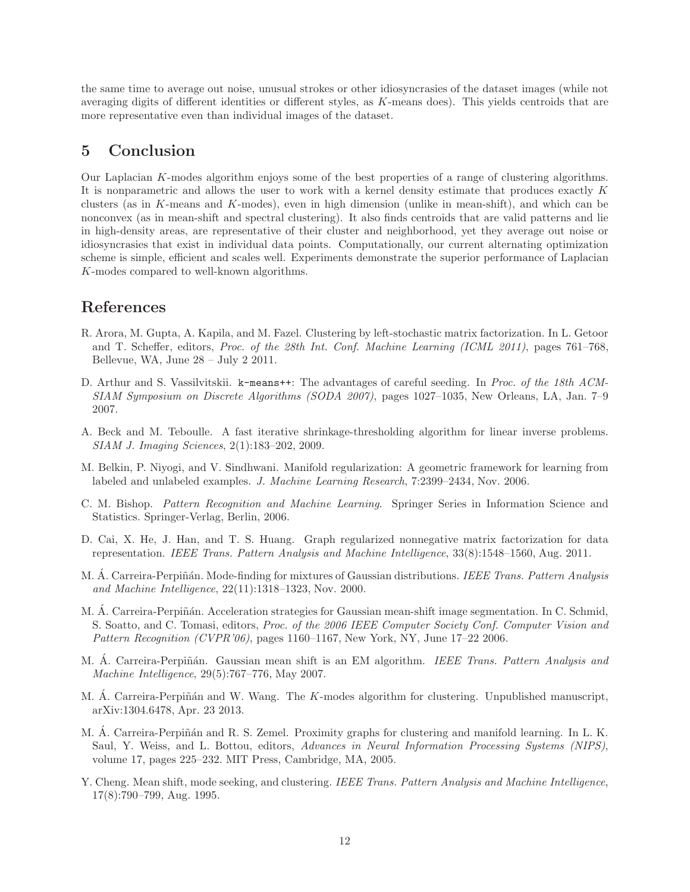the same time to average out noise, unusual strokes or other idiosyncrasies of the dataset images (while not averaging digits of different identities or different styles, as K-means does). This yields centroids that are more representative even than individual images of the dataset.

# 5 Conclusion

Our Laplacian K-modes algorithm enjoys some of the best properties of a range of clustering algorithms. It is nonparametric and allows the user to work with a kernel density estimate that produces exactly K clusters (as in K-means and K-modes), even in high dimension (unlike in mean-shift), and which can be nonconvex (as in mean-shift and spectral clustering). It also finds centroids that are valid patterns and lie in high-density areas, are representative of their cluster and neighborhood, yet they average out noise or idiosyncrasies that exist in individual data points. Computationally, our current alternating optimization scheme is simple, efficient and scales well. Experiments demonstrate the superior performance of Laplacian K-modes compared to well-known algorithms.

# References

- R. Arora, M. Gupta, A. Kapila, and M. Fazel. Clustering by left-stochastic matrix factorization. In L. Getoor and T. Scheffer, editors, *Proc. of the 28th Int. Conf. Machine Learning (ICML 2011)*, pages 761–768, Bellevue, WA, June 28 – July 2 2011.
- D. Arthur and S. Vassilvitskii. k-means++: The advantages of careful seeding. In *Proc. of the 18th ACM-SIAM Symposium on Discrete Algorithms (SODA 2007)*, pages 1027–1035, New Orleans, LA, Jan. 7–9 2007.
- A. Beck and M. Teboulle. A fast iterative shrinkage-thresholding algorithm for linear inverse problems. *SIAM J. Imaging Sciences*, 2(1):183–202, 2009.
- M. Belkin, P. Niyogi, and V. Sindhwani. Manifold regularization: A geometric framework for learning from labeled and unlabeled examples. *J. Machine Learning Research*, 7:2399–2434, Nov. 2006.
- C. M. Bishop. *Pattern Recognition and Machine Learning*. Springer Series in Information Science and Statistics. Springer-Verlag, Berlin, 2006.
- D. Cai, X. He, J. Han, and T. S. Huang. Graph regularized nonnegative matrix factorization for data representation. *IEEE Trans. Pattern Analysis and Machine Intelligence*, 33(8):1548–1560, Aug. 2011.
- M. A. Carreira-Perpiñán. Mode-finding for mixtures of Gaussian distributions. *IEEE Trans. Pattern Analysis and Machine Intelligence*, 22(11):1318–1323, Nov. 2000.
- M. Á. Carreira-Perpiñán. Acceleration strategies for Gaussian mean-shift image segmentation. In C. Schmid, S. Soatto, and C. Tomasi, editors, *Proc. of the 2006 IEEE Computer Society Conf. Computer Vision and Pattern Recognition (CVPR'06)*, pages 1160–1167, New York, NY, June 17–22 2006.
- M. A. Carreira-Perpiñán. Gaussian mean shift is an EM algorithm. *IEEE Trans. Pattern Analysis and Machine Intelligence*, 29(5):767–776, May 2007.
- M. Á. Carreira-Perpiñán and W. Wang. The K-modes algorithm for clustering. Unpublished manuscript, arXiv:1304.6478, Apr. 23 2013.
- M. A. Carreira-Perpiñán and R. S. Zemel. Proximity graphs for clustering and manifold learning. In L. K. Saul, Y. Weiss, and L. Bottou, editors, *Advances in Neural Information Processing Systems (NIPS)*, volume 17, pages 225–232. MIT Press, Cambridge, MA, 2005.
- Y. Cheng. Mean shift, mode seeking, and clustering. *IEEE Trans. Pattern Analysis and Machine Intelligence*, 17(8):790–799, Aug. 1995.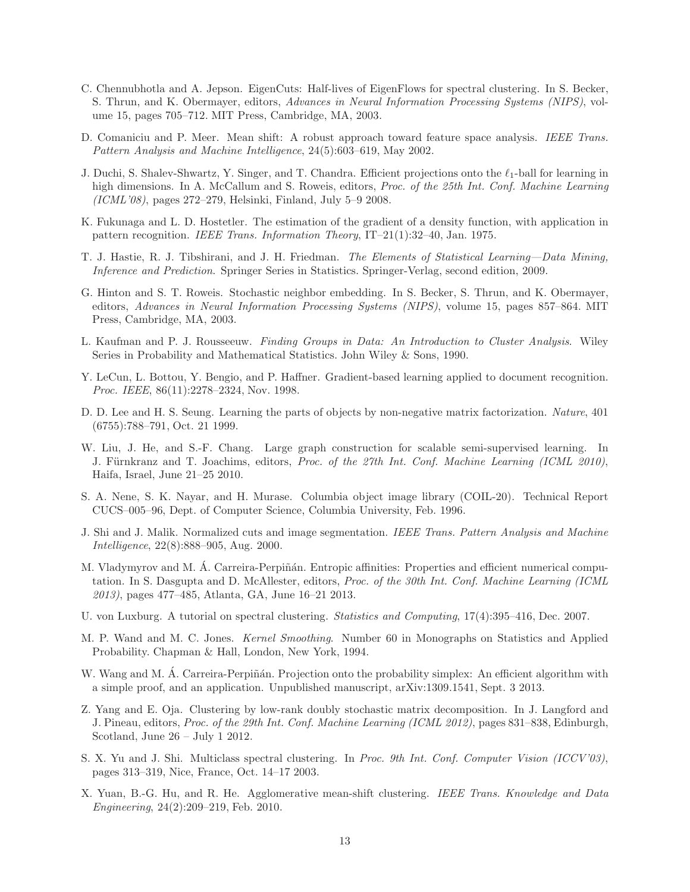- C. Chennubhotla and A. Jepson. EigenCuts: Half-lives of EigenFlows for spectral clustering. In S. Becker, S. Thrun, and K. Obermayer, editors, *Advances in Neural Information Processing Systems (NIPS)*, volume 15, pages 705–712. MIT Press, Cambridge, MA, 2003.
- D. Comaniciu and P. Meer. Mean shift: A robust approach toward feature space analysis. *IEEE Trans. Pattern Analysis and Machine Intelligence*, 24(5):603–619, May 2002.
- J. Duchi, S. Shalev-Shwartz, Y. Singer, and T. Chandra. Efficient projections onto the  $\ell_1$ -ball for learning in high dimensions. In A. McCallum and S. Roweis, editors, *Proc. of the 25th Int. Conf. Machine Learning (ICML'08)*, pages 272–279, Helsinki, Finland, July 5–9 2008.
- K. Fukunaga and L. D. Hostetler. The estimation of the gradient of a density function, with application in pattern recognition. *IEEE Trans. Information Theory*, IT–21(1):32–40, Jan. 1975.
- T. J. Hastie, R. J. Tibshirani, and J. H. Friedman. *The Elements of Statistical Learning—Data Mining, Inference and Prediction*. Springer Series in Statistics. Springer-Verlag, second edition, 2009.
- G. Hinton and S. T. Roweis. Stochastic neighbor embedding. In S. Becker, S. Thrun, and K. Obermayer, editors, *Advances in Neural Information Processing Systems (NIPS)*, volume 15, pages 857–864. MIT Press, Cambridge, MA, 2003.
- L. Kaufman and P. J. Rousseeuw. *Finding Groups in Data: An Introduction to Cluster Analysis*. Wiley Series in Probability and Mathematical Statistics. John Wiley & Sons, 1990.
- Y. LeCun, L. Bottou, Y. Bengio, and P. Haffner. Gradient-based learning applied to document recognition. *Proc. IEEE*, 86(11):2278–2324, Nov. 1998.
- D. D. Lee and H. S. Seung. Learning the parts of objects by non-negative matrix factorization. *Nature*, 401 (6755):788–791, Oct. 21 1999.
- W. Liu, J. He, and S.-F. Chang. Large graph construction for scalable semi-supervised learning. In J. Fürnkranz and T. Joachims, editors, *Proc. of the 27th Int. Conf. Machine Learning (ICML 2010)*, Haifa, Israel, June 21–25 2010.
- S. A. Nene, S. K. Nayar, and H. Murase. Columbia object image library (COIL-20). Technical Report CUCS–005–96, Dept. of Computer Science, Columbia University, Feb. 1996.
- J. Shi and J. Malik. Normalized cuts and image segmentation. *IEEE Trans. Pattern Analysis and Machine Intelligence*, 22(8):888–905, Aug. 2000.
- M. Vladymyrov and M. A. Carreira-Perpiñán. Entropic affinities: Properties and efficient numerical computation. In S. Dasgupta and D. McAllester, editors, *Proc. of the 30th Int. Conf. Machine Learning (ICML 2013)*, pages 477–485, Atlanta, GA, June 16–21 2013.
- U. von Luxburg. A tutorial on spectral clustering. *Statistics and Computing*, 17(4):395–416, Dec. 2007.
- M. P. Wand and M. C. Jones. *Kernel Smoothing*. Number 60 in Monographs on Statistics and Applied Probability. Chapman & Hall, London, New York, 1994.
- W. Wang and M. Á. Carreira-Perpiñán. Projection onto the probability simplex: An efficient algorithm with a simple proof, and an application. Unpublished manuscript, arXiv:1309.1541, Sept. 3 2013.
- Z. Yang and E. Oja. Clustering by low-rank doubly stochastic matrix decomposition. In J. Langford and J. Pineau, editors, *Proc. of the 29th Int. Conf. Machine Learning (ICML 2012)*, pages 831–838, Edinburgh, Scotland, June 26 – July 1 2012.
- S. X. Yu and J. Shi. Multiclass spectral clustering. In *Proc. 9th Int. Conf. Computer Vision (ICCV'03)*, pages 313–319, Nice, France, Oct. 14–17 2003.
- X. Yuan, B.-G. Hu, and R. He. Agglomerative mean-shift clustering. *IEEE Trans. Knowledge and Data Engineering*, 24(2):209–219, Feb. 2010.